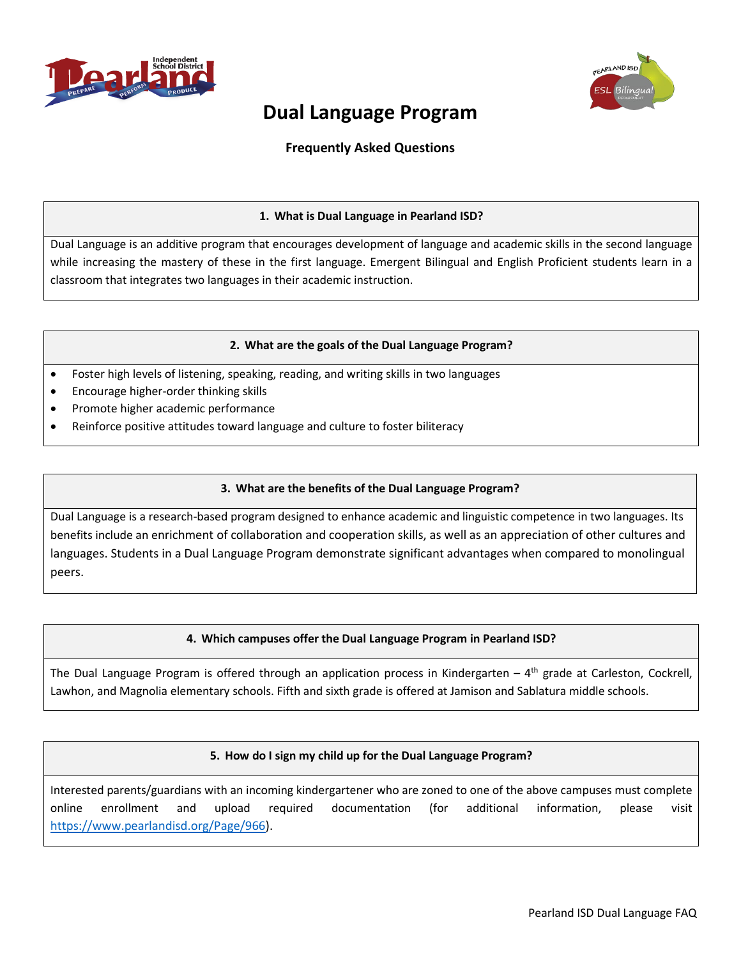



# **Dual Language Program**

# **Frequently Asked Questions**

### **1. What is Dual Language in Pearland ISD?**

Dual Language is an additive program that encourages development of language and academic skills in the second language while increasing the mastery of these in the first language. Emergent Bilingual and English Proficient students learn in a classroom that integrates two languages in their academic instruction.

#### **2. What are the goals of the Dual Language Program?**

- Foster high levels of listening, speaking, reading, and writing skills in two languages
- Encourage higher-order thinking skills
- Promote higher academic performance
- Reinforce positive attitudes toward language and culture to foster biliteracy

## **3. What are the benefits of the Dual Language Program?**

Dual Language is a research-based program designed to enhance academic and linguistic competence in two languages. Its benefits include an enrichment of collaboration and cooperation skills, as well as an appreciation of other cultures and languages. Students in a Dual Language Program demonstrate significant advantages when compared to monolingual peers.

## **4. Which campuses offer the Dual Language Program in Pearland ISD?**

The Dual Language Program is offered through an application process in Kindergarten –  $4<sup>th</sup>$  grade at Carleston, Cockrell, Lawhon, and Magnolia elementary schools. Fifth and sixth grade is offered at Jamison and Sablatura middle schools.

## **5. How do I sign my child up for the Dual Language Program?**

Interested parents/guardians with an incoming kindergartener who are zoned to one of the above campuses must complete online enrollment and upload required documentation (for additional information, please visit [https://www.pearlandisd.org/Page/966\)](https://www.pearlandisd.org/Page/966).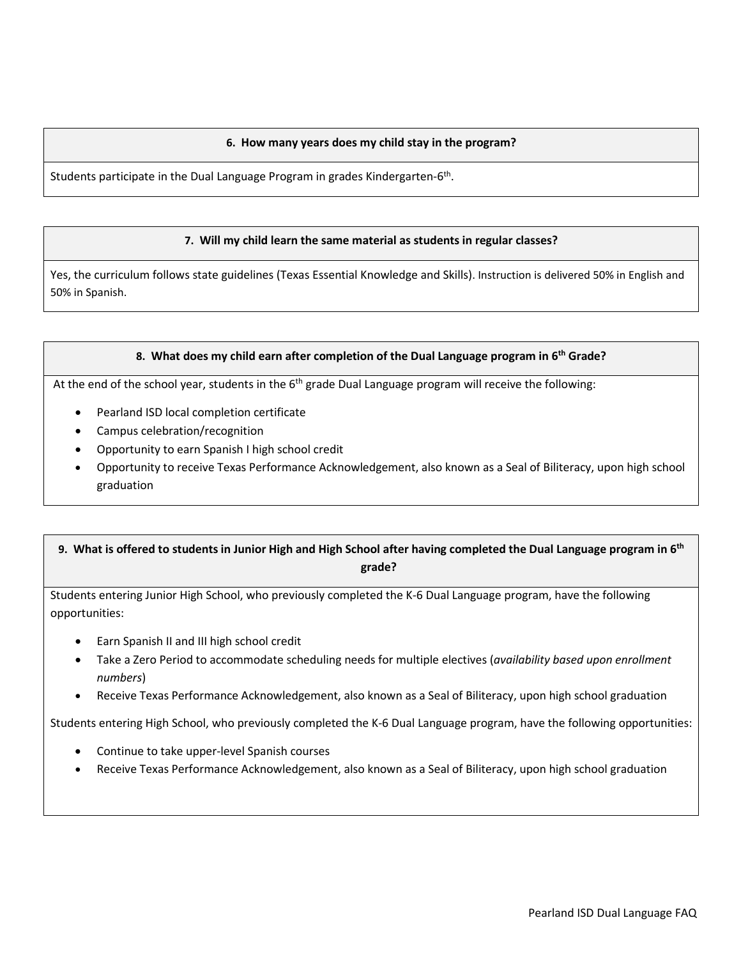#### **6. How many years does my child stay in the program?**

Students participate in the Dual Language Program in grades Kindergarten-6th.

#### **7. Will my child learn the same material as students in regular classes?**

Yes, the curriculum follows state guidelines (Texas Essential Knowledge and Skills). Instruction is delivered 50% in English and 50% in Spanish.

#### **8. What does my child earn after completion of the Dual Language program in 6th Grade?**

At the end of the school year, students in the 6<sup>th</sup> grade Dual Language program will receive the following:

- Pearland ISD local completion certificate
- Campus celebration/recognition
- Opportunity to earn Spanish I high school credit
- Opportunity to receive Texas Performance Acknowledgement, also known as a Seal of Biliteracy, upon high school graduation

## **9. What is offered to students in Junior High and High School after having completed the Dual Language program in 6th grade?**

Students entering Junior High School, who previously completed the K-6 Dual Language program, have the following opportunities:

- Earn Spanish II and III high school credit
- Take a Zero Period to accommodate scheduling needs for multiple electives (*availability based upon enrollment numbers*)
- Receive Texas Performance Acknowledgement, also known as a Seal of Biliteracy, upon high school graduation

Students entering High School, who previously completed the K-6 Dual Language program, have the following opportunities:

- Continue to take upper-level Spanish courses
- Receive Texas Performance Acknowledgement, also known as a Seal of Biliteracy, upon high school graduation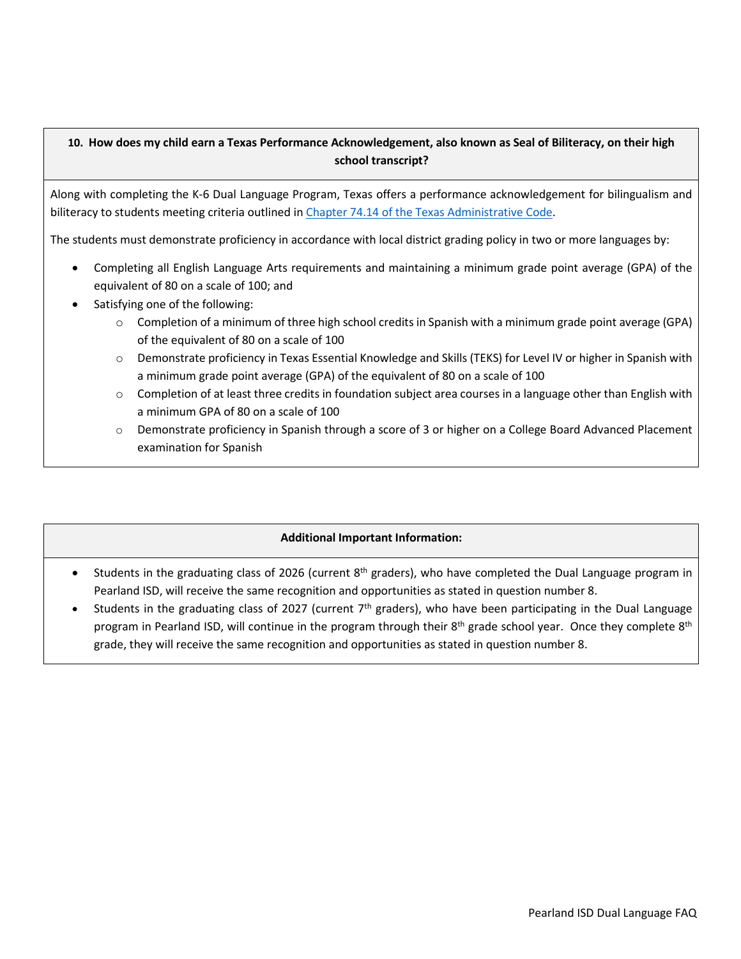# **10. How does my child earn a Texas Performance Acknowledgement, also known as Seal of Biliteracy, on their high school transcript?**

Along with completing the K-6 Dual Language Program, Texas offers a performance acknowledgement for bilingualism and biliteracy to students meeting criteria outlined in [Chapter 74.14 of the Texas Administrative Code.](https://tea.texas.gov/sites/default/files/ch074b.pdf)

The students must demonstrate proficiency in accordance with local district grading policy in two or more languages by:

- Completing all English Language Arts requirements and maintaining a minimum grade point average (GPA) of the equivalent of 80 on a scale of 100; and
- Satisfying one of the following:
	- $\circ$  Completion of a minimum of three high school credits in Spanish with a minimum grade point average (GPA) of the equivalent of 80 on a scale of 100
	- o Demonstrate proficiency in Texas Essential Knowledge and Skills (TEKS) for Level IV or higher in Spanish with a minimum grade point average (GPA) of the equivalent of 80 on a scale of 100
	- $\circ$  Completion of at least three credits in foundation subject area courses in a language other than English with a minimum GPA of 80 on a scale of 100
	- o Demonstrate proficiency in Spanish through a score of 3 or higher on a College Board Advanced Placement examination for Spanish

## **Additional Important Information:**

- Students in the graduating class of 2026 (current 8<sup>th</sup> graders), who have completed the Dual Language program in Pearland ISD, will receive the same recognition and opportunities as stated in question number 8.
- Students in the graduating class of 2027 (current  $7<sup>th</sup>$  graders), who have been participating in the Dual Language program in Pearland ISD, will continue in the program through their 8<sup>th</sup> grade school year. Once they complete 8<sup>th</sup> grade, they will receive the same recognition and opportunities as stated in question number 8.